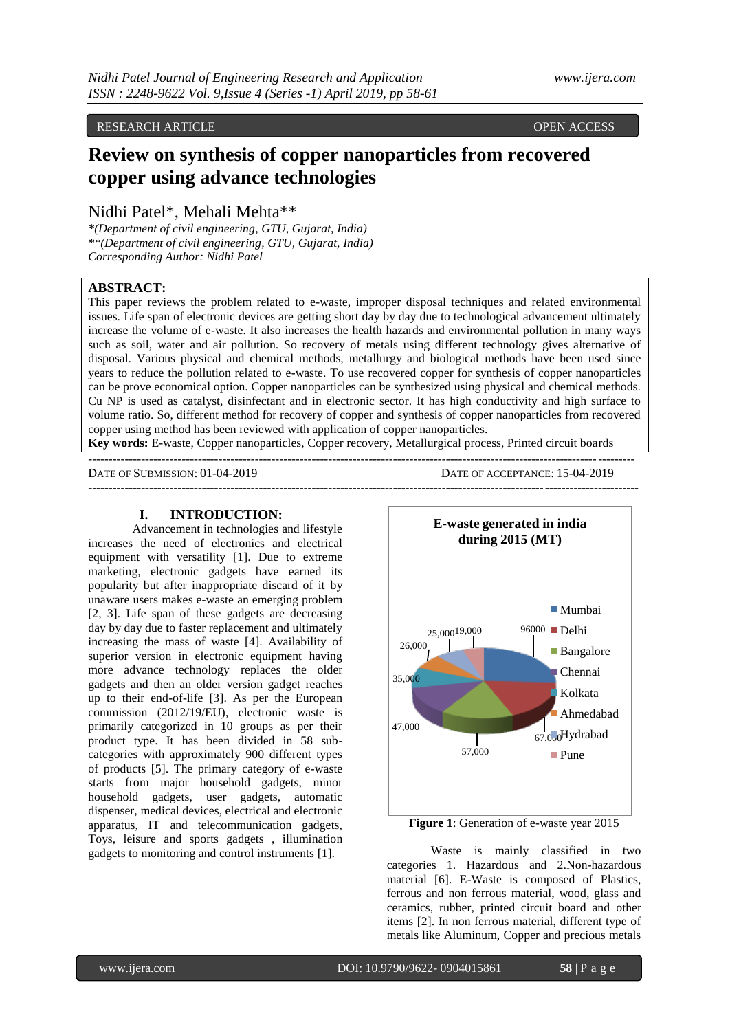#### RESEARCH ARTICLE **CONSERVERS** OPEN ACCESS OPEN ACCESS

# **Review on synthesis of copper nanoparticles from recovered copper using advance technologies**

Nidhi Patel\*, Mehali Mehta\*\*

*\*(Department of civil engineering, GTU, Gujarat, India) \*\*(Department of civil engineering, GTU, Gujarat, India) Corresponding Author: Nidhi Patel*

# **ABSTRACT:**

This paper reviews the problem related to e-waste, improper disposal techniques and related environmental issues. Life span of electronic devices are getting short day by day due to technological advancement ultimately increase the volume of e-waste. It also increases the health hazards and environmental pollution in many ways such as soil, water and air pollution. So recovery of metals using different technology gives alternative of disposal. Various physical and chemical methods, metallurgy and biological methods have been used since years to reduce the pollution related to e-waste. To use recovered copper for synthesis of copper nanoparticles can be prove economical option. Copper nanoparticles can be synthesized using physical and chemical methods. Cu NP is used as catalyst, disinfectant and in electronic sector. It has high conductivity and high surface to volume ratio. So, different method for recovery of copper and synthesis of copper nanoparticles from recovered copper using method has been reviewed with application of copper nanoparticles.

**Key words:** E-waste, Copper nanoparticles, Copper recovery, Metallurgical process, Printed circuit boards

--------------------------------------------------------------------------------------------------------------------------------------

 $-1-\frac{1}{2}$ 

DATE OF SUBMISSION: 01-04-2019 DATE OF ACCEPTANCE: 15-04-2019

#### **I. INTRODUCTION:**

Advancement in technologies and lifestyle increases the need of electronics and electrical equipment with versatility [1]. Due to extreme marketing, electronic gadgets have earned its popularity but after inappropriate discard of it by unaware users makes e-waste an emerging problem [2, 3]. Life span of these gadgets are decreasing day by day due to faster replacement and ultimately increasing the mass of waste [4]. Availability of superior version in electronic equipment having more advance technology replaces the older gadgets and then an older version gadget reaches up to their end-of-life [3]. As per the European commission (2012/19/EU), electronic waste is primarily categorized in 10 groups as per their product type. It has been divided in 58 subcategories with approximately 900 different types of products [5]. The primary category of e-waste starts from major household gadgets, minor household gadgets, user gadgets, automatic dispenser, medical devices, electrical and electronic apparatus, IT and telecommunication gadgets, Toys, leisure and sports gadgets , illumination gadgets to monitoring and control instruments [1].



**Figure 1**: Generation of e-waste year 2015

Waste is mainly classified in two categories 1. Hazardous and 2.Non-hazardous material [6]. E-Waste is composed of Plastics, ferrous and non ferrous material, wood, glass and ceramics, rubber, printed circuit board and other items [2]. In non ferrous material, different type of metals like Aluminum, Copper and precious metals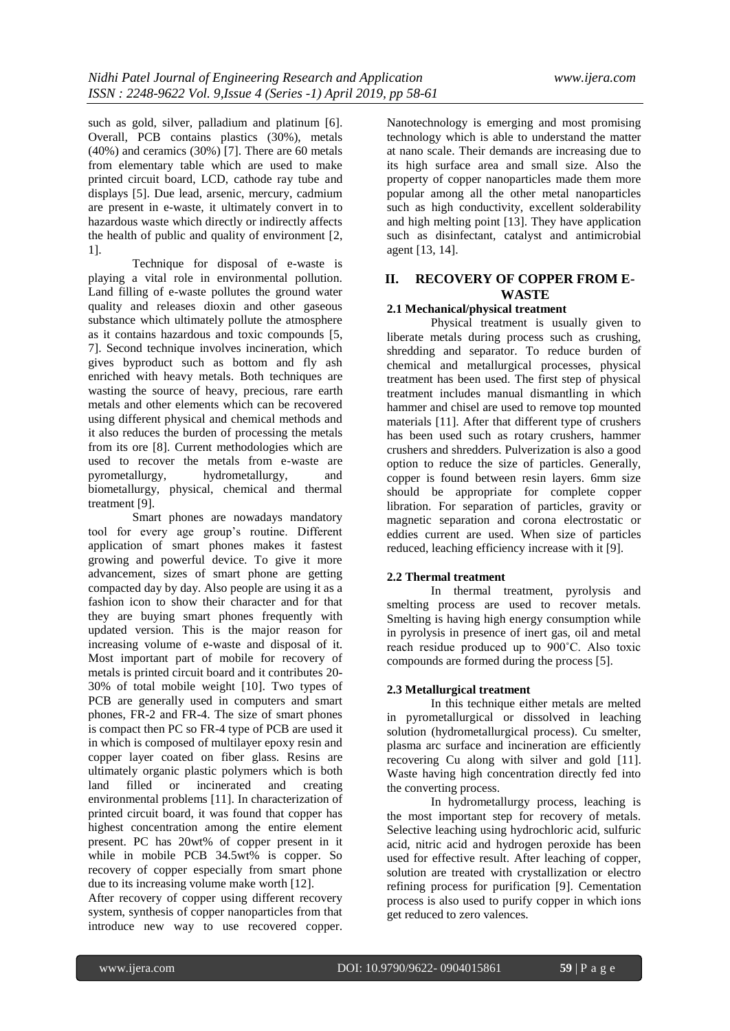such as gold, silver, palladium and platinum [6]. Overall, PCB contains plastics (30%), metals (40%) and ceramics (30%) [7]. There are 60 metals from elementary table which are used to make printed circuit board, LCD, cathode ray tube and displays [5]. Due lead, arsenic, mercury, cadmium are present in e-waste, it ultimately convert in to hazardous waste which directly or indirectly affects the health of public and quality of environment [2, 1].

Technique for disposal of e-waste is playing a vital role in environmental pollution. Land filling of e-waste pollutes the ground water quality and releases dioxin and other gaseous substance which ultimately pollute the atmosphere as it contains hazardous and toxic compounds [5, 7]. Second technique involves incineration, which gives byproduct such as bottom and fly ash enriched with heavy metals. Both techniques are wasting the source of heavy, precious, rare earth metals and other elements which can be recovered using different physical and chemical methods and it also reduces the burden of processing the metals from its ore [8]. Current methodologies which are used to recover the metals from e-waste are pyrometallurgy, hydrometallurgy, and biometallurgy, physical, chemical and thermal treatment [9].

Smart phones are nowadays mandatory tool for every age group's routine. Different application of smart phones makes it fastest growing and powerful device. To give it more advancement, sizes of smart phone are getting compacted day by day. Also people are using it as a fashion icon to show their character and for that they are buying smart phones frequently with updated version. This is the major reason for increasing volume of e-waste and disposal of it. Most important part of mobile for recovery of metals is printed circuit board and it contributes 20- 30% of total mobile weight [10]. Two types of PCB are generally used in computers and smart phones, FR-2 and FR-4. The size of smart phones is compact then PC so FR-4 type of PCB are used it in which is composed of multilayer epoxy resin and copper layer coated on fiber glass. Resins are ultimately organic plastic polymers which is both land filled or incinerated and creating environmental problems [11]. In characterization of printed circuit board, it was found that copper has highest concentration among the entire element present. PC has 20wt% of copper present in it while in mobile PCB 34.5wt% is copper. So recovery of copper especially from smart phone due to its increasing volume make worth [12].

After recovery of copper using different recovery system, synthesis of copper nanoparticles from that introduce new way to use recovered copper. Nanotechnology is emerging and most promising technology which is able to understand the matter at nano scale. Their demands are increasing due to its high surface area and small size. Also the property of copper nanoparticles made them more popular among all the other metal nanoparticles such as high conductivity, excellent solderability and high melting point [13]. They have application such as disinfectant, catalyst and antimicrobial agent [13, 14].

# **II. RECOVERY OF COPPER FROM E-WASTE**

#### **2.1 Mechanical/physical treatment**

Physical treatment is usually given to liberate metals during process such as crushing, shredding and separator. To reduce burden of chemical and metallurgical processes, physical treatment has been used. The first step of physical treatment includes manual dismantling in which hammer and chisel are used to remove top mounted materials [11]. After that different type of crushers has been used such as rotary crushers, hammer crushers and shredders. Pulverization is also a good option to reduce the size of particles. Generally, copper is found between resin layers. 6mm size should be appropriate for complete copper libration. For separation of particles, gravity or magnetic separation and corona electrostatic or eddies current are used. When size of particles reduced, leaching efficiency increase with it [9].

## **2.2 Thermal treatment**

In thermal treatment, pyrolysis and smelting process are used to recover metals. Smelting is having high energy consumption while in pyrolysis in presence of inert gas, oil and metal reach residue produced up to 900˚C. Also toxic compounds are formed during the process [5].

#### **2.3 Metallurgical treatment**

In this technique either metals are melted in pyrometallurgical or dissolved in leaching solution (hydrometallurgical process). Cu smelter, plasma arc surface and incineration are efficiently recovering Cu along with silver and gold [11]. Waste having high concentration directly fed into the converting process.

In hydrometallurgy process, leaching is the most important step for recovery of metals. Selective leaching using hydrochloric acid, sulfuric acid, nitric acid and hydrogen peroxide has been used for effective result. After leaching of copper, solution are treated with crystallization or electro refining process for purification [9]. Cementation process is also used to purify copper in which ions get reduced to zero valences.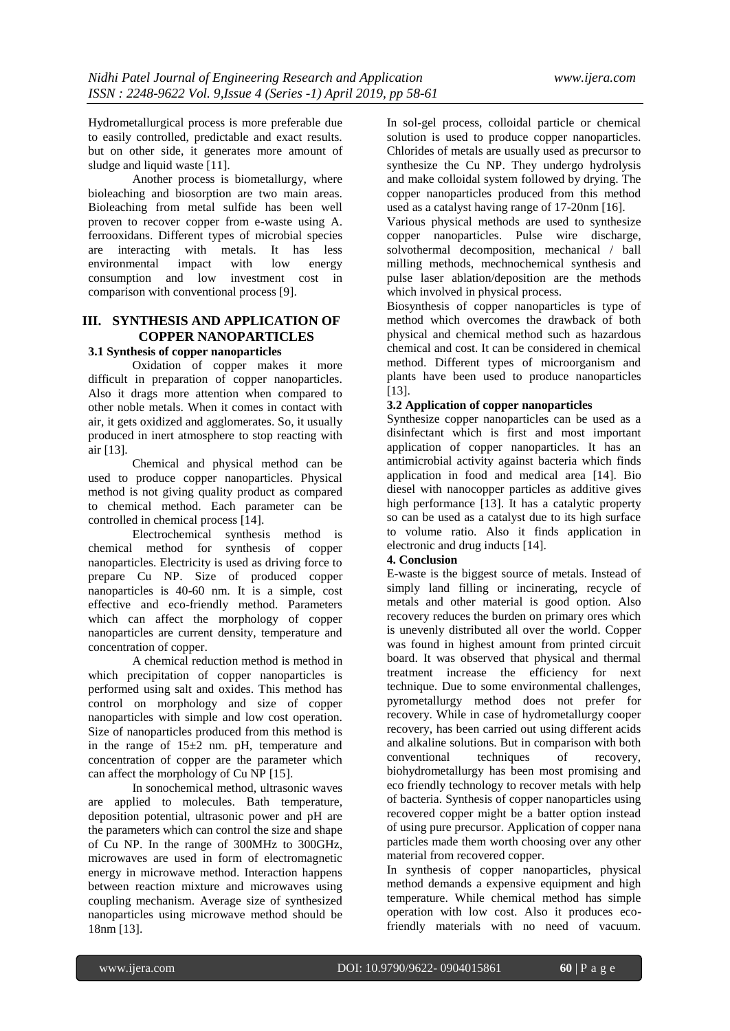Hydrometallurgical process is more preferable due to easily controlled, predictable and exact results. but on other side, it generates more amount of sludge and liquid waste [11].

Another process is biometallurgy, where bioleaching and biosorption are two main areas. Bioleaching from metal sulfide has been well proven to recover copper from e-waste using A. ferrooxidans. Different types of microbial species are interacting with metals. It has less environmental impact with low energy consumption and low investment cost in comparison with conventional process [9].

# **III. SYNTHESIS AND APPLICATION OF COPPER NANOPARTICLES**

## **3.1 Synthesis of copper nanoparticles**

Oxidation of copper makes it more difficult in preparation of copper nanoparticles. Also it drags more attention when compared to other noble metals. When it comes in contact with air, it gets oxidized and agglomerates. So, it usually produced in inert atmosphere to stop reacting with air [13].

Chemical and physical method can be used to produce copper nanoparticles. Physical method is not giving quality product as compared to chemical method. Each parameter can be controlled in chemical process [14].

Electrochemical synthesis method is chemical method for synthesis of copper nanoparticles. Electricity is used as driving force to prepare Cu NP. Size of produced copper nanoparticles is 40-60 nm. It is a simple, cost effective and eco-friendly method. Parameters which can affect the morphology of copper nanoparticles are current density, temperature and concentration of copper.

A chemical reduction method is method in which precipitation of copper nanoparticles is performed using salt and oxides. This method has control on morphology and size of copper nanoparticles with simple and low cost operation. Size of nanoparticles produced from this method is in the range of 15±2 nm. pH, temperature and concentration of copper are the parameter which can affect the morphology of Cu NP [15].

In sonochemical method, ultrasonic waves are applied to molecules. Bath temperature, deposition potential, ultrasonic power and pH are the parameters which can control the size and shape of Cu NP. In the range of 300MHz to 300GHz, microwaves are used in form of electromagnetic energy in microwave method. Interaction happens between reaction mixture and microwaves using coupling mechanism. Average size of synthesized nanoparticles using microwave method should be 18nm [13].

In sol-gel process, colloidal particle or chemical solution is used to produce copper nanoparticles. Chlorides of metals are usually used as precursor to synthesize the Cu NP. They undergo hydrolysis and make colloidal system followed by drying. The copper nanoparticles produced from this method used as a catalyst having range of 17-20nm [16].

Various physical methods are used to synthesize copper nanoparticles. Pulse wire discharge, solvothermal decomposition, mechanical / ball milling methods, mechnochemical synthesis and pulse laser ablation/deposition are the methods which involved in physical process.

Biosynthesis of copper nanoparticles is type of method which overcomes the drawback of both physical and chemical method such as hazardous chemical and cost. It can be considered in chemical method. Different types of microorganism and plants have been used to produce nanoparticles [13].

#### **3.2 Application of copper nanoparticles**

Synthesize copper nanoparticles can be used as a disinfectant which is first and most important application of copper nanoparticles. It has an antimicrobial activity against bacteria which finds application in food and medical area [14]. Bio diesel with nanocopper particles as additive gives high performance [13]. It has a catalytic property so can be used as a catalyst due to its high surface to volume ratio. Also it finds application in electronic and drug inducts [14].

#### **4. Conclusion**

E-waste is the biggest source of metals. Instead of simply land filling or incinerating, recycle of metals and other material is good option. Also recovery reduces the burden on primary ores which is unevenly distributed all over the world. Copper was found in highest amount from printed circuit board. It was observed that physical and thermal treatment increase the efficiency for next technique. Due to some environmental challenges, pyrometallurgy method does not prefer for recovery. While in case of hydrometallurgy cooper recovery, has been carried out using different acids and alkaline solutions. But in comparison with both conventional techniques of recovery, biohydrometallurgy has been most promising and eco friendly technology to recover metals with help of bacteria. Synthesis of copper nanoparticles using recovered copper might be a batter option instead of using pure precursor. Application of copper nana particles made them worth choosing over any other material from recovered copper.

In synthesis of copper nanoparticles, physical method demands a expensive equipment and high temperature. While chemical method has simple operation with low cost. Also it produces ecofriendly materials with no need of vacuum.